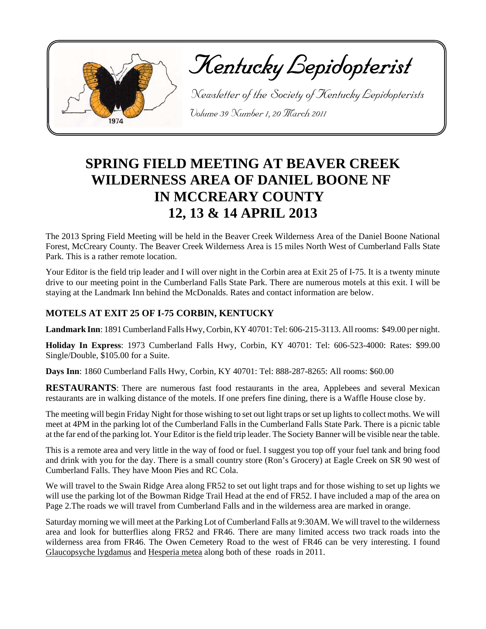

Kentucky Lepidopterist

 Newsletter of the Society of Kentucky Lepidopterists Volume 39 Number 1, 20 March 2011

# **SPRING FIELD MEETING AT BEAVER CREEK WILDERNESS AREA OF DANIEL BOONE NF IN MCCREARY COUNTY 12, 13 & 14 APRIL 2013**

The 2013 Spring Field Meeting will be held in the Beaver Creek Wilderness Area of the Daniel Boone National Forest, McCreary County. The Beaver Creek Wilderness Area is 15 miles North West of Cumberland Falls State Park. This is a rather remote location.

Your Editor is the field trip leader and I will over night in the Corbin area at Exit 25 of I-75. It is a twenty minute drive to our meeting point in the Cumberland Falls State Park. There are numerous motels at this exit. I will be staying at the Landmark Inn behind the McDonalds. Rates and contact information are below.

### **MOTELS AT EXIT 25 OF I-75 CORBIN, KENTUCKY**

**Landmark Inn**: 1891 Cumberland Falls Hwy, Corbin, KY 40701: Tel: 606-215-3113. All rooms: \$49.00 per night.

**Holiday In Express**: 1973 Cumberland Falls Hwy, Corbin, KY 40701: Tel: 606-523-4000: Rates: \$99.00 Single/Double, \$105.00 for a Suite.

**Days Inn**: 1860 Cumberland Falls Hwy, Corbin, KY 40701: Tel: 888-287-8265: All rooms: \$60.00

**RESTAURANTS**: There are numerous fast food restaurants in the area, Applebees and several Mexican restaurants are in walking distance of the motels. If one prefers fine dining, there is a Waffle House close by.

The meeting will begin Friday Night for those wishing to set out light traps or set up lights to collect moths. We will meet at 4PM in the parking lot of the Cumberland Falls in the Cumberland Falls State Park. There is a picnic table at the far end of the parking lot. Your Editor is the field trip leader. The Society Banner will be visible near the table.

This is a remote area and very little in the way of food or fuel. I suggest you top off your fuel tank and bring food and drink with you for the day. There is a small country store (Ron's Grocery) at Eagle Creek on SR 90 west of Cumberland Falls. They have Moon Pies and RC Cola.

We will travel to the Swain Ridge Area along FR52 to set out light traps and for those wishing to set up lights we will use the parking lot of the Bowman Ridge Trail Head at the end of FR52. I have included a map of the area on Page 2.The roads we will travel from Cumberland Falls and in the wilderness area are marked in orange.

Saturday morning we will meet at the Parking Lot of Cumberland Falls at 9:30AM. We will travel to the wilderness area and look for butterflies along FR52 and FR46. There are many limited access two track roads into the wilderness area from FR46. The Owen Cemetery Road to the west of FR46 can be very interesting. I found Glaucopsyche lygdamus and Hesperia metea along both of these roads in 2011.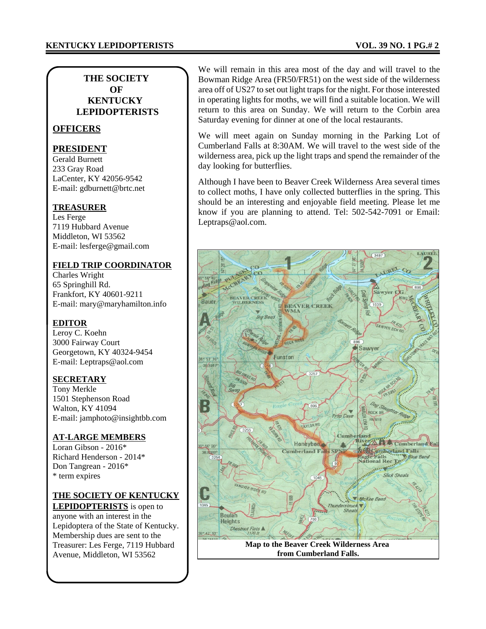#### **THE SOCIETY OF KENTUCKY LEPIDOPTERISTS**

#### **OFFICERS**

#### **PRESIDENT**

Gerald Burnett 233 Gray Road LaCenter, KY 42056-9542 E-mail: gdburnett@brtc.net

#### **TREASURER**

Les Ferge 7119 Hubbard Avenue Middleton, WI 53562 E-mail: lesferge@gmail.com

#### **FIELD TRIP COORDINATOR**

Charles Wright 65 Springhill Rd. Frankfort, KY 40601-9211 E-mail: mary@maryhamilton.info

#### **EDITOR**

Leroy C. Koehn 3000 Fairway Court Georgetown, KY 40324-9454 E-mail: Leptraps@aol.com

#### **SECRETARY**

Tony Merkle 1501 Stephenson Road Walton, KY 41094 E-mail: jamphoto@insightbb.com

#### **AT-LARGE MEMBERS**

Loran Gibson - 2016\* Richard Henderson - 2014\* Don Tangrean - 2016\* \* term expires

#### **THE SOCIETY OF KENTUCKY**

**LEPIDOPTERISTS** is open to anyone with an interest in the Lepidoptera of the State of Kentucky. Membership dues are sent to the Treasurer: Les Ferge, 7119 Hubbard Avenue, Middleton, WI 53562

We will remain in this area most of the day and will travel to the Bowman Ridge Area (FR50/FR51) on the west side of the wilderness area off of US27 to set out light traps for the night. For those interested in operating lights for moths, we will find a suitable location. We will return to this area on Sunday. We will return to the Corbin area Saturday evening for dinner at one of the local restaurants.

We will meet again on Sunday morning in the Parking Lot of Cumberland Falls at 8:30AM. We will travel to the west side of the wilderness area, pick up the light traps and spend the remainder of the day looking for butterflies.

Although I have been to Beaver Creek Wilderness Area several times to collect moths, I have only collected butterflies in the spring. This should be an interesting and enjoyable field meeting. Please let me know if you are planning to attend. Tel: 502-542-7091 or Email: Leptraps@aol.com.



**from Cumberland Falls.**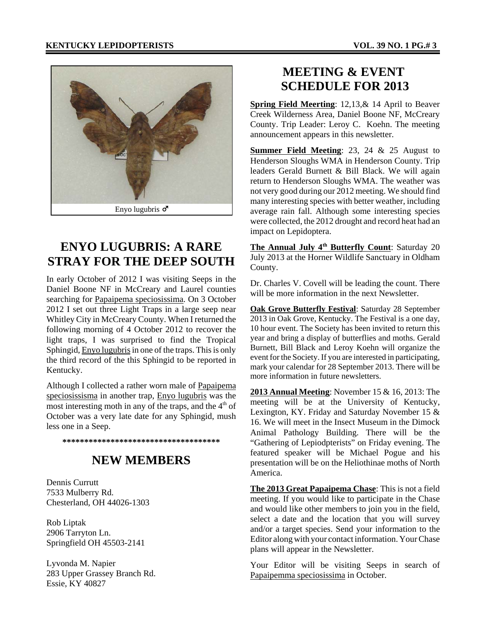

# **ENYO LUGUBRIS: A RARE STRAY FOR THE DEEP SOUTH**

In early October of 2012 I was visiting Seeps in the Daniel Boone NF in McCreary and Laurel counties searching for Papaipema speciosissima. On 3 October 2012 I set out three Light Traps in a large seep near Whitley City in McCreary County. When I returned the following morning of 4 October 2012 to recover the light traps, I was surprised to find the Tropical Sphingid, Enyo lugubris in one of the traps. This is only the third record of the this Sphingid to be reported in Kentucky.

Although I collected a rather worn male of Papaipema speciosissisma in another trap, Enyo lugubris was the most interesting moth in any of the traps, and the  $4<sup>th</sup>$  of October was a very late date for any Sphingid, mush less one in a Seep.

**\*\*\*\*\*\*\*\*\*\*\*\*\*\*\*\*\*\*\*\*\*\*\*\*\*\*\*\*\*\*\*\*\*\*\*\***

### **NEW MEMBERS**

Dennis Currutt 7533 Mulberry Rd. Chesterland, OH 44026-1303

Rob Liptak 2906 Tarryton Ln. Springfield OH 45503-2141

Lyvonda M. Napier 283 Upper Grassey Branch Rd. Essie, KY 40827

## **MEETING & EVENT SCHEDULE FOR 2013**

**Spring Field Meerting**: 12,13,& 14 April to Beaver Creek Wilderness Area, Daniel Boone NF, McCreary County. Trip Leader: Leroy C. Koehn. The meeting announcement appears in this newsletter.

**Summer Field Meeting**: 23, 24 & 25 August to Henderson Sloughs WMA in Henderson County. Trip leaders Gerald Burnett & Bill Black. We will again return to Henderson Sloughs WMA. The weather was not very good during our 2012 meeting. We should find many interesting species with better weather, including average rain fall. Although some interesting species were collected, the 2012 drought and record heat had an impact on Lepidoptera.

**The Annual July 4<sup>th</sup> Butterfly Count:** Saturday 20 July 2013 at the Horner Wildlife Sanctuary in Oldham County.

Dr. Charles V. Covell will be leading the count. There will be more information in the next Newsletter.

**Oak Grove Butterfly Festival**: Saturday 28 September 2013 in Oak Grove, Kentucky. The Festival is a one day, 10 hour event. The Society has been invited to return this year and bring a display of butterflies and moths. Gerald Burnett, Bill Black and Leroy Koehn will organize the event for the Society. If you are interested in participating, mark your calendar for 28 September 2013. There will be more information in future newsletters.

**2013 Annual Meeting**: November 15 & 16, 2013: The meeting will be at the University of Kentucky, Lexington, KY. Friday and Saturday November 15 & 16. We will meet in the Insect Museum in the Dimock Animal Pathology Building. There will be the "Gathering of Lepiodpterists" on Friday evening. The featured speaker will be Michael Pogue and his presentation will be on the Heliothinae moths of North America.

**The 2013 Great Papaipema Chase**: This is not a field meeting. If you would like to participate in the Chase and would like other members to join you in the field, select a date and the location that you will survey and/or a target species. Send your information to the Editor along with your contact information. Your Chase plans will appear in the Newsletter.

Your Editor will be visiting Seeps in search of Papaipemma speciosissima in October.